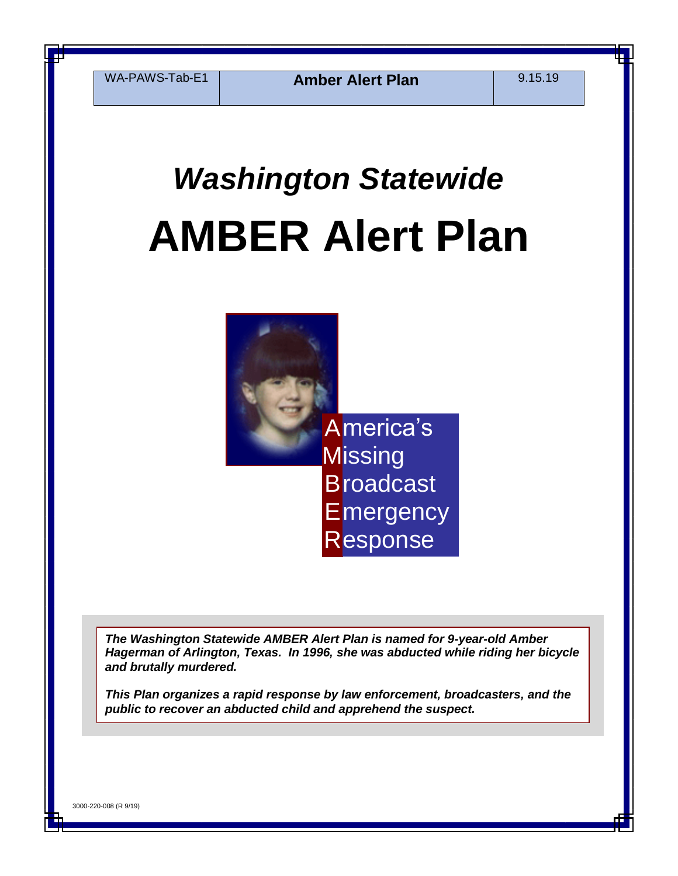WA-PAWS-Tab-E1 **Amber Alert Plan** 9.15.19

# *Washington Statewide*  **AMBER Alert Plan**



*The Washington Statewide AMBER Alert Plan is named for 9-year-old Amber Hagerman of Arlington, Texas. In 1996, she was abducted while riding her bicycle and brutally murdered.* 

*This Plan organizes a rapid response by law enforcement, broadcasters, and the public to recover an abducted child and apprehend the suspect.*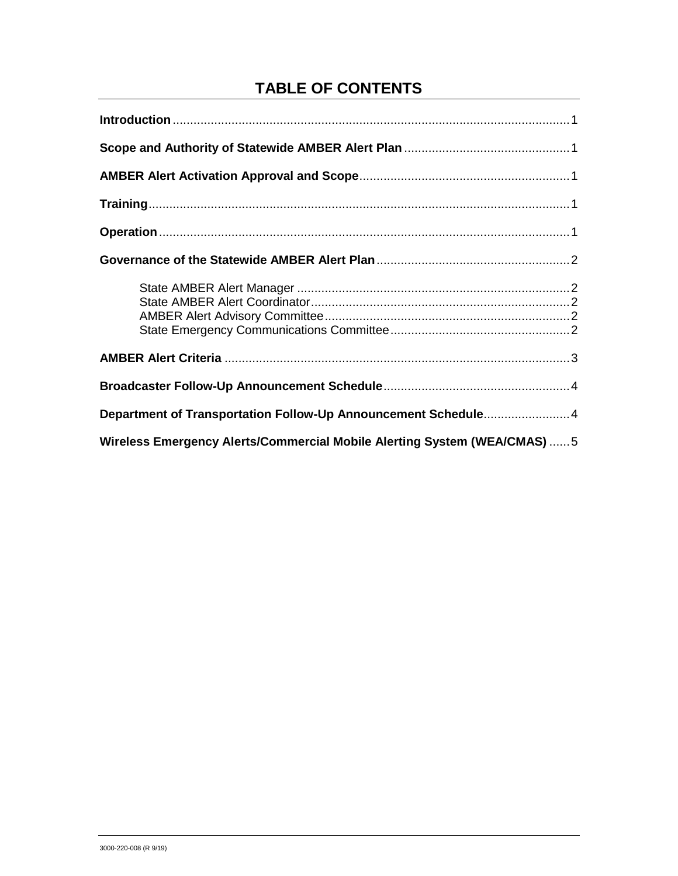## **TABLE OF CONTENTS**

| Department of Transportation Follow-Up Announcement Schedule4            |
|--------------------------------------------------------------------------|
| Wireless Emergency Alerts/Commercial Mobile Alerting System (WEA/CMAS) 5 |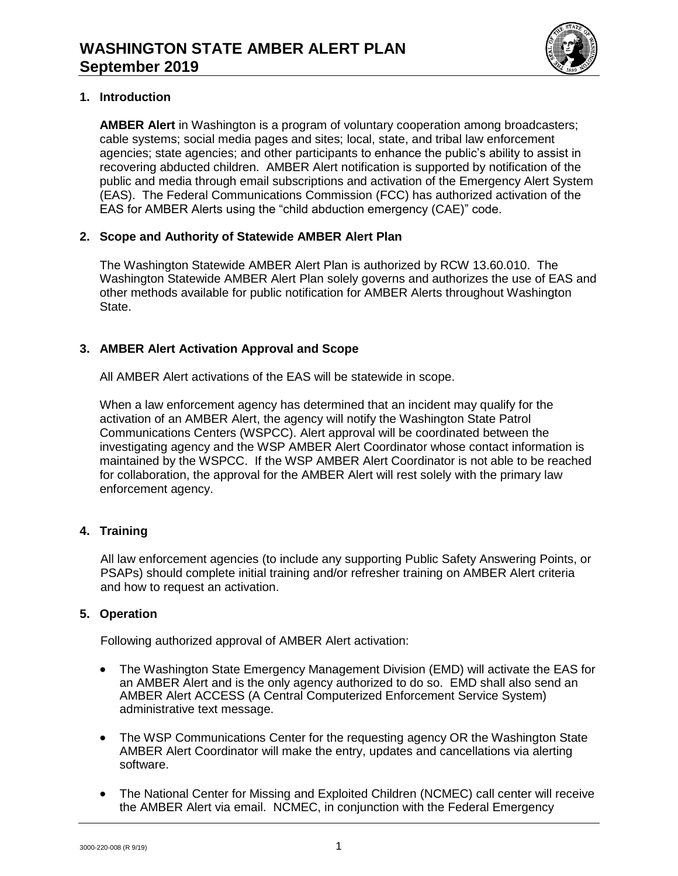

## **1. Introduction**

**AMBER Alert** in Washington is a program of voluntary cooperation among broadcasters; cable systems; social media pages and sites; local, state, and tribal law enforcement agencies; state agencies; and other participants to enhance the public's ability to assist in recovering abducted children. AMBER Alert notification is supported by notification of the public and media through email subscriptions and activation of the Emergency Alert System (EAS). The Federal Communications Commission (FCC) has authorized activation of the EAS for AMBER Alerts using the "child abduction emergency (CAE)" code.

## **2. Scope and Authority of Statewide AMBER Alert Plan**

The Washington Statewide AMBER Alert Plan is authorized by RCW 13.60.010. The Washington Statewide AMBER Alert Plan solely governs and authorizes the use of EAS and other methods available for public notification for AMBER Alerts throughout Washington State.

## **3. AMBER Alert Activation Approval and Scope**

All AMBER Alert activations of the EAS will be statewide in scope.

When a law enforcement agency has determined that an incident may qualify for the activation of an AMBER Alert, the agency will notify the Washington State Patrol Communications Centers (WSPCC). Alert approval will be coordinated between the investigating agency and the WSP AMBER Alert Coordinator whose contact information is maintained by the WSPCC. If the WSP AMBER Alert Coordinator is not able to be reached for collaboration, the approval for the AMBER Alert will rest solely with the primary law enforcement agency.

## **4. Training**

All law enforcement agencies (to include any supporting Public Safety Answering Points, or PSAPs) should complete initial training and/or refresher training on AMBER Alert criteria and how to request an activation.

## **5. Operation**

Following authorized approval of AMBER Alert activation:

- The Washington State Emergency Management Division (EMD) will activate the EAS for an AMBER Alert and is the only agency authorized to do so. EMD shall also send an AMBER Alert ACCESS (A Central Computerized Enforcement Service System) administrative text message.
- The WSP Communications Center for the requesting agency OR the Washington State AMBER Alert Coordinator will make the entry, updates and cancellations via alerting software.
- The National Center for Missing and Exploited Children (NCMEC) call center will receive the AMBER Alert via email. NCMEC, in conjunction with the Federal Emergency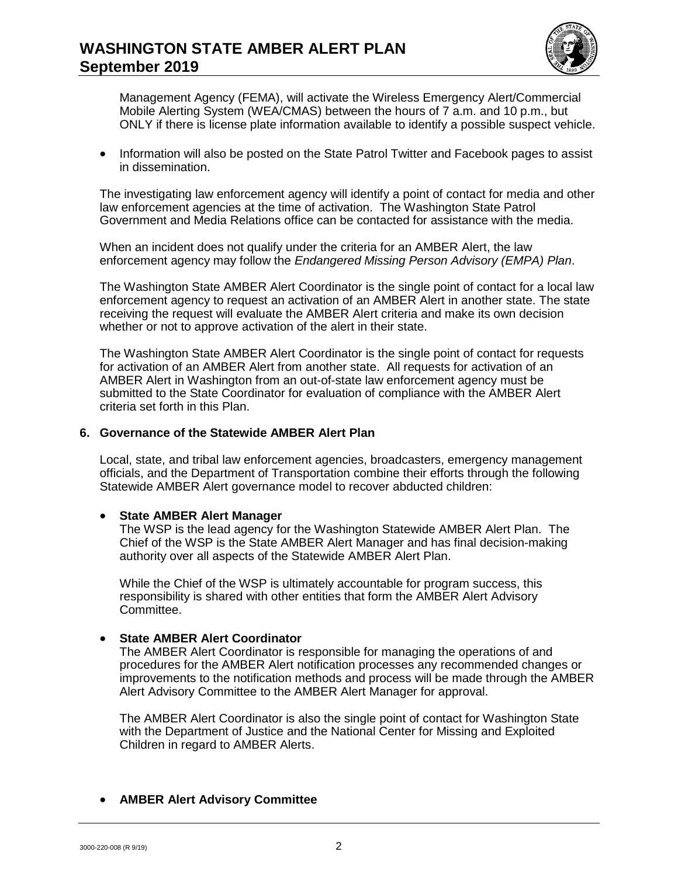

Management Agency (FEMA), will activate the Wireless Emergency Alert/Commercial Mobile Alerting System (WEA/CMAS) between the hours of 7 a.m. and 10 p.m., but ONLY if there is license plate information available to identify a possible suspect vehicle.

• Information will also be posted on the State Patrol Twitter and Facebook pages to assist in dissemination.

The investigating law enforcement agency will identify a point of contact for media and other law enforcement agencies at the time of activation. The Washington State Patrol Government and Media Relations office can be contacted for assistance with the media.

When an incident does not qualify under the criteria for an AMBER Alert, the law enforcement agency may follow the *Endangered Missing Person Advisory (EMPA) Plan*.

The Washington State AMBER Alert Coordinator is the single point of contact for a local law enforcement agency to request an activation of an AMBER Alert in another state. The state receiving the request will evaluate the AMBER Alert criteria and make its own decision whether or not to approve activation of the alert in their state.

The Washington State AMBER Alert Coordinator is the single point of contact for requests for activation of an AMBER Alert from another state. All requests for activation of an AMBER Alert in Washington from an out-of-state law enforcement agency must be submitted to the State Coordinator for evaluation of compliance with the AMBER Alert criteria set forth in this Plan.

#### **6. Governance of the Statewide AMBER Alert Plan**

Local, state, and tribal law enforcement agencies, broadcasters, emergency management officials, and the Department of Transportation combine their efforts through the following Statewide AMBER Alert governance model to recover abducted children:

#### **State AMBER Alert Manager**

The WSP is the lead agency for the Washington Statewide AMBER Alert Plan. The Chief of the WSP is the State AMBER Alert Manager and has final decision-making authority over all aspects of the Statewide AMBER Alert Plan.

While the Chief of the WSP is ultimately accountable for program success, this responsibility is shared with other entities that form the AMBER Alert Advisory Committee.

#### **State AMBER Alert Coordinator**

The AMBER Alert Coordinator is responsible for managing the operations of and procedures for the AMBER Alert notification processes any recommended changes or improvements to the notification methods and process will be made through the AMBER Alert Advisory Committee to the AMBER Alert Manager for approval.

The AMBER Alert Coordinator is also the single point of contact for Washington State with the Department of Justice and the National Center for Missing and Exploited Children in regard to AMBER Alerts.

#### **AMBER Alert Advisory Committee**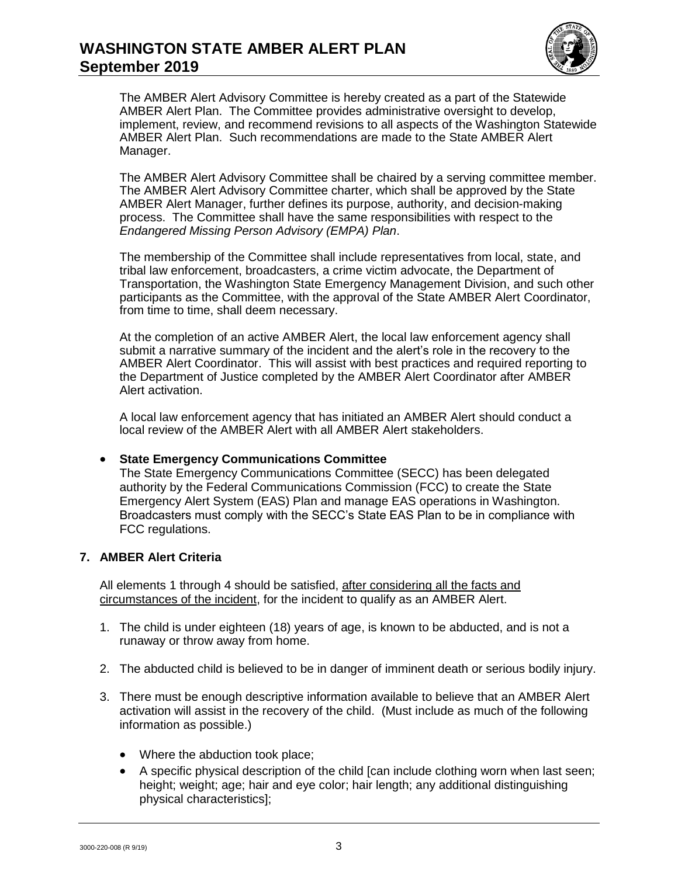

The AMBER Alert Advisory Committee is hereby created as a part of the Statewide AMBER Alert Plan. The Committee provides administrative oversight to develop, implement, review, and recommend revisions to all aspects of the Washington Statewide AMBER Alert Plan. Such recommendations are made to the State AMBER Alert Manager.

The AMBER Alert Advisory Committee shall be chaired by a serving committee member. The AMBER Alert Advisory Committee charter, which shall be approved by the State AMBER Alert Manager, further defines its purpose, authority, and decision-making process. The Committee shall have the same responsibilities with respect to the *Endangered Missing Person Advisory (EMPA) Plan*.

The membership of the Committee shall include representatives from local, state, and tribal law enforcement, broadcasters, a crime victim advocate, the Department of Transportation, the Washington State Emergency Management Division, and such other participants as the Committee, with the approval of the State AMBER Alert Coordinator, from time to time, shall deem necessary.

At the completion of an active AMBER Alert, the local law enforcement agency shall submit a narrative summary of the incident and the alert's role in the recovery to the AMBER Alert Coordinator. This will assist with best practices and required reporting to the Department of Justice completed by the AMBER Alert Coordinator after AMBER Alert activation.

A local law enforcement agency that has initiated an AMBER Alert should conduct a local review of the AMBER Alert with all AMBER Alert stakeholders.

#### **State Emergency Communications Committee**

The State Emergency Communications Committee (SECC) has been delegated authority by the Federal Communications Commission (FCC) to create the State Emergency Alert System (EAS) Plan and manage EAS operations in Washington. Broadcasters must comply with the SECC's State EAS Plan to be in compliance with FCC regulations.

## **7. AMBER Alert Criteria**

All elements 1 through 4 should be satisfied, after considering all the facts and circumstances of the incident, for the incident to qualify as an AMBER Alert.

- 1. The child is under eighteen (18) years of age, is known to be abducted, and is not a runaway or throw away from home.
- 2. The abducted child is believed to be in danger of imminent death or serious bodily injury.
- 3. There must be enough descriptive information available to believe that an AMBER Alert activation will assist in the recovery of the child. (Must include as much of the following information as possible.)
	- Where the abduction took place;
	- A specific physical description of the child [can include clothing worn when last seen; height; weight; age; hair and eye color; hair length; any additional distinguishing physical characteristics];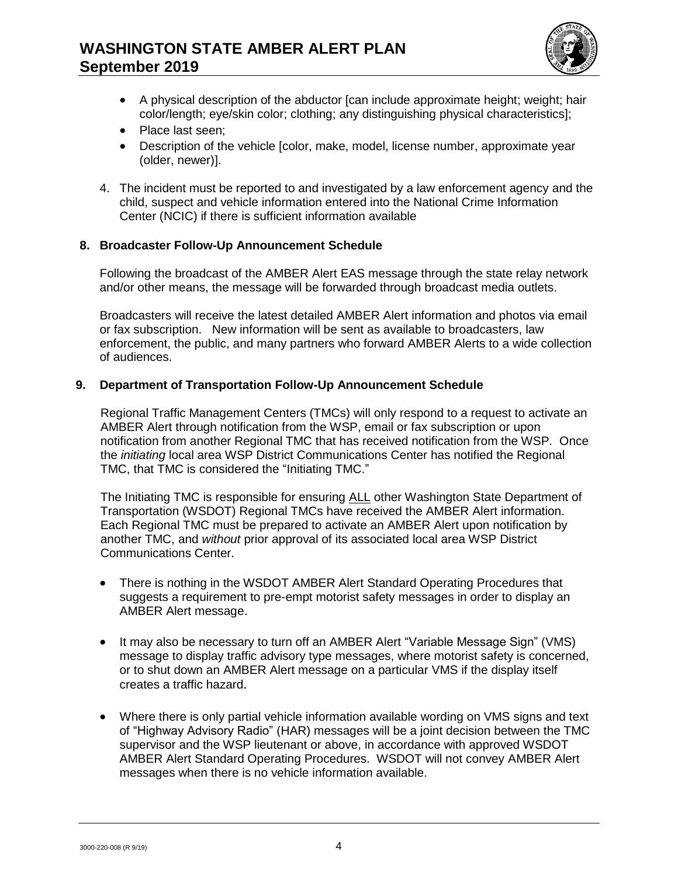

- A physical description of the abductor [can include approximate height; weight; hair color/length; eye/skin color; clothing; any distinguishing physical characteristics];
- Place last seen:
- Description of the vehicle [color, make, model, license number, approximate year (older, newer)].
- 4. The incident must be reported to and investigated by a law enforcement agency and the child, suspect and vehicle information entered into the National Crime Information Center (NCIC) if there is sufficient information available

## **8. Broadcaster Follow-Up Announcement Schedule**

Following the broadcast of the AMBER Alert EAS message through the state relay network and/or other means, the message will be forwarded through broadcast media outlets.

Broadcasters will receive the latest detailed AMBER Alert information and photos via email or fax subscription. New information will be sent as available to broadcasters, law enforcement, the public, and many partners who forward AMBER Alerts to a wide collection of audiences.

#### **9. Department of Transportation Follow-Up Announcement Schedule**

Regional Traffic Management Centers (TMCs) will only respond to a request to activate an AMBER Alert through notification from the WSP, email or fax subscription or upon notification from another Regional TMC that has received notification from the WSP. Once the *initiating* local area WSP District Communications Center has notified the Regional TMC, that TMC is considered the "Initiating TMC."

The Initiating TMC is responsible for ensuring ALL other Washington State Department of Transportation (WSDOT) Regional TMCs have received the AMBER Alert information. Each Regional TMC must be prepared to activate an AMBER Alert upon notification by another TMC, and *without* prior approval of its associated local area WSP District Communications Center.

- There is nothing in the WSDOT AMBER Alert Standard Operating Procedures that suggests a requirement to pre-empt motorist safety messages in order to display an AMBER Alert message.
- It may also be necessary to turn off an AMBER Alert "Variable Message Sign" (VMS) message to display traffic advisory type messages, where motorist safety is concerned, or to shut down an AMBER Alert message on a particular VMS if the display itself creates a traffic hazard.
- Where there is only partial vehicle information available wording on VMS signs and text of "Highway Advisory Radio" (HAR) messages will be a joint decision between the TMC supervisor and the WSP lieutenant or above, in accordance with approved WSDOT AMBER Alert Standard Operating Procedures. WSDOT will not convey AMBER Alert messages when there is no vehicle information available.